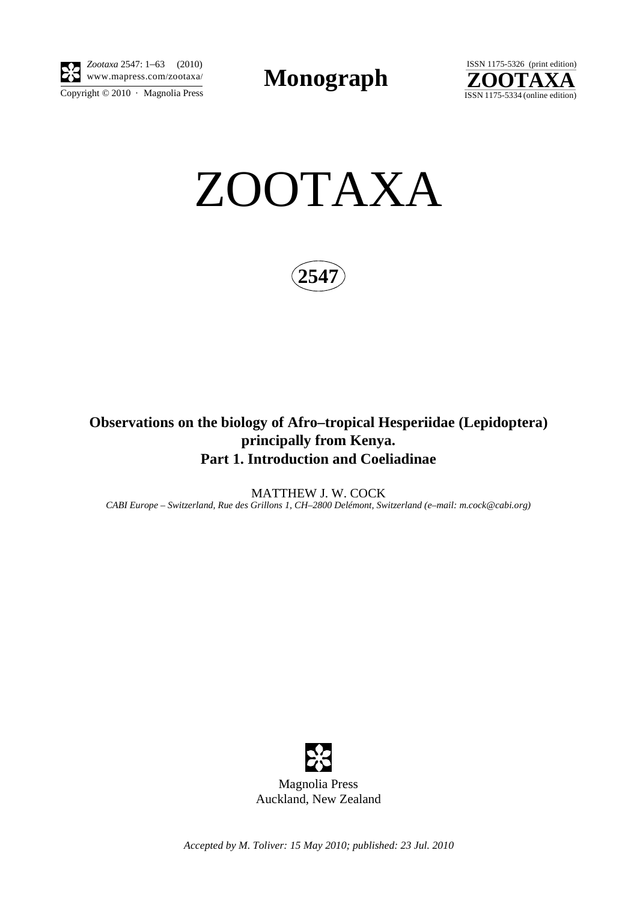

 $\overline{\text{Copyright} \odot 2010\, \cdot \text{ Magnolia Press}}}$ *Zootaxa* 2547: 1–63 (2010)

**Monograph** 





**254** 

# **Observations on the biology of Afro–tropical Hesperiidae (Lepidoptera) principally from Kenya. Part 1. Introduction and Coeliadinae**

MATTHEW J. W. COCK *CABI Europe – Switzerland, Rue des Grillons 1, CH–2800 Delémont, Switzerland (e–mail: m.cock@cabi.org)*



*Accepted by M. Toliver: 15 May 2010; published: 23 Jul. 2010*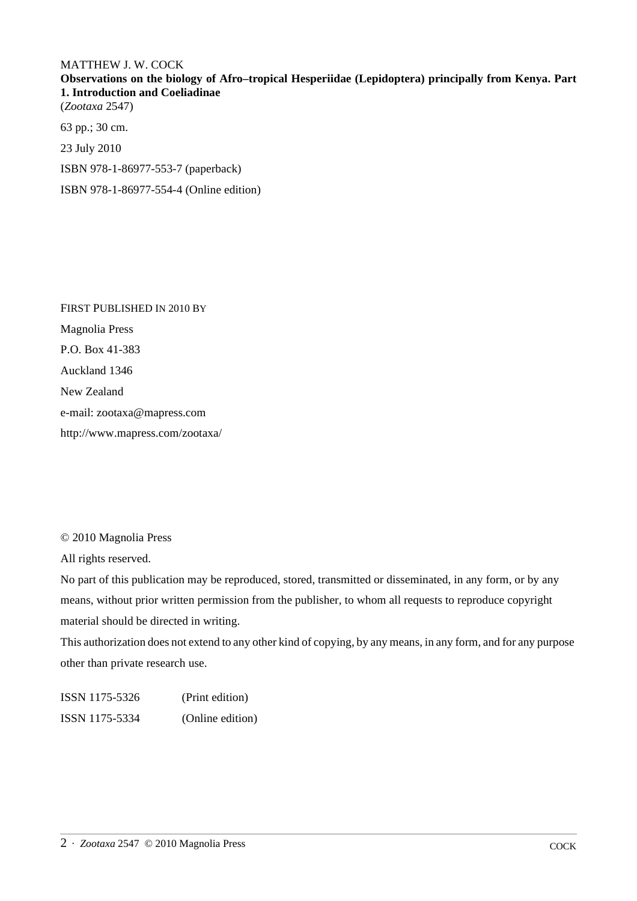## MATTHEW J. W. COCK

**Observations on the biology of Afro–tropical Hesperiidae (Lepidoptera) principally from Kenya. Part 1. Introduction and Coeliadinae**

(*Zootaxa* 2547)

63 pp.; 30 cm.

23 July 2010

ISBN 978-1-86977-553-7 (paperback)

ISBN 978-1-86977-554-4 (Online edition)

FIRST PUBLISHED IN 2010 BY Magnolia Press P.O. Box 41-383 Auckland 1346 New Zealand e-mail: zootaxa@mapress.com http://www.mapress.com/zootaxa/

© 2010 Magnolia Press

All rights reserved.

No part of this publication may be reproduced, stored, transmitted or disseminated, in any form, or by any means, without prior written permission from the publisher, to whom all requests to reproduce copyright material should be directed in writing.

This authorization does not extend to any other kind of copying, by any means, in any form, and for any purpose other than private research use.

ISSN 1175-5326 (Print edition) ISSN 1175-5334 (Online edition)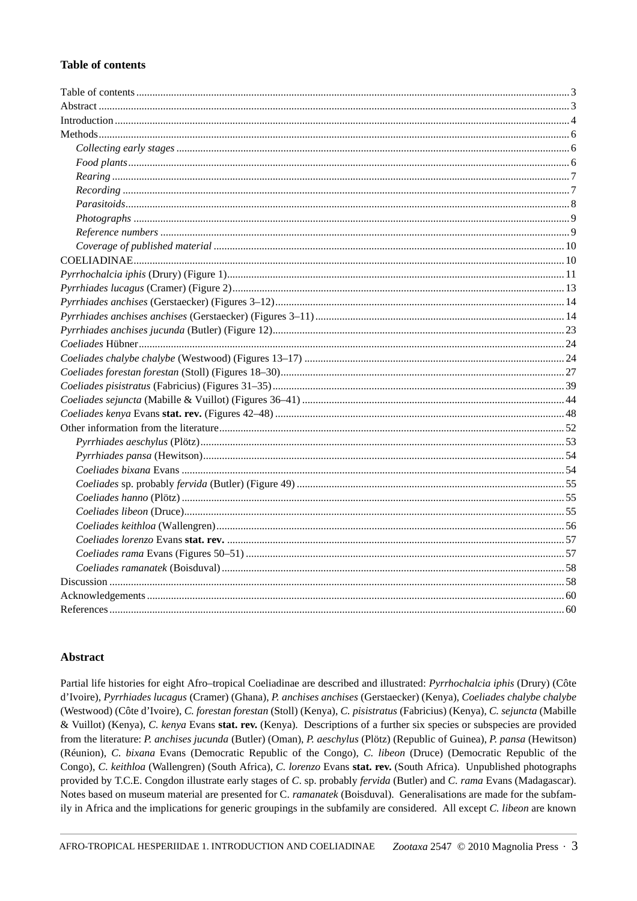### **Table of contents**

#### Abstract

Partial life histories for eight Afro-tropical Coeliadinae are described and illustrated: *Pyrrhochalcia iphis* (Drury) (Côte d'Ivoire), Pyrrhiades lucagus (Cramer) (Ghana), P. anchises anchises (Gerstaecker) (Kenya), Coeliades chalybe chalybe (Westwood) (Côte d'Ivoire), C. forestan forestan (Stoll) (Kenya), C. pisistratus (Fabricius) (Kenya), C. sejuncta (Mabille & Vuillot) (Kenya), C. kenya Evans stat. rev. (Kenya). Descriptions of a further six species or subspecies are provided from the literature: P. anchises jucunda (Butler) (Oman), P. aeschylus (Plötz) (Republic of Guinea), P. pansa (Hewitson) (Réunion), C. bixana Evans (Democratic Republic of the Congo), C. libeon (Druce) (Democratic Republic of the Congo), C. keithloa (Wallengren) (South Africa), C. lorenzo Evans stat. rev. (South Africa). Unpublished photographs provided by T.C.E. Congdon illustrate early stages of C. sp. probably fervida (Butler) and C. rama Evans (Madagascar). Notes based on museum material are presented for C. ramanatek (Boisduval). Generalisations are made for the subfamily in Africa and the implications for generic groupings in the subfamily are considered. All except C. libeon are known